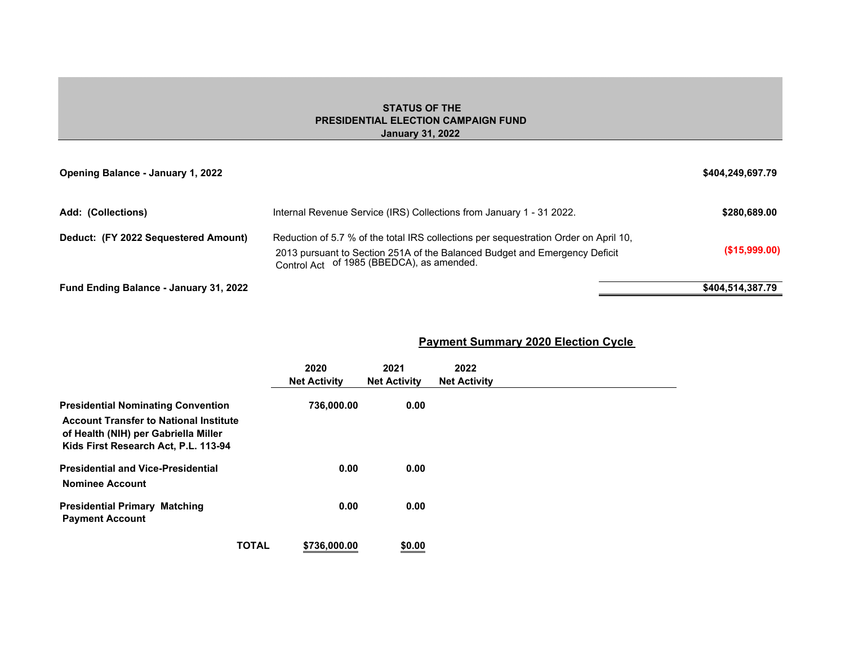## **STATUS OF THE PRESIDENTIAL ELECTION CAMPAIGN FUND January 31, 2022**

| <b>Opening Balance - January 1, 2022</b> |                                                                                                                                                                                                                 | \$404,249,697.79 |
|------------------------------------------|-----------------------------------------------------------------------------------------------------------------------------------------------------------------------------------------------------------------|------------------|
| Add: (Collections)                       | Internal Revenue Service (IRS) Collections from January 1 - 31 2022.                                                                                                                                            | \$280,689,00     |
| Deduct: (FY 2022 Sequestered Amount)     | Reduction of 5.7 % of the total IRS collections per sequestration Order on April 10.<br>2013 pursuant to Section 251A of the Balanced Budget and Emergency Deficit<br>Control Act of 1985 (BBEDCA), as amended. | $($ \$15,999.00) |
| Fund Ending Balance - January 31, 2022   |                                                                                                                                                                                                                 | \$404,514,387.79 |

# **Payment Summary 2020 Election Cycle**

|                                                                                                                                                                            | 2020<br><b>Net Activity</b> | 2021<br><b>Net Activity</b> | 2022<br><b>Net Activity</b> |
|----------------------------------------------------------------------------------------------------------------------------------------------------------------------------|-----------------------------|-----------------------------|-----------------------------|
| <b>Presidential Nominating Convention</b><br><b>Account Transfer to National Institute</b><br>of Health (NIH) per Gabriella Miller<br>Kids First Research Act, P.L. 113-94 | 736,000.00                  | 0.00                        |                             |
| <b>Presidential and Vice-Presidential</b><br><b>Nominee Account</b>                                                                                                        | 0.00                        | 0.00                        |                             |
| <b>Presidential Primary Matching</b><br><b>Payment Account</b>                                                                                                             | 0.00                        | 0.00                        |                             |
| <b>TOTAL</b>                                                                                                                                                               | \$736,000,00                | \$0.00                      |                             |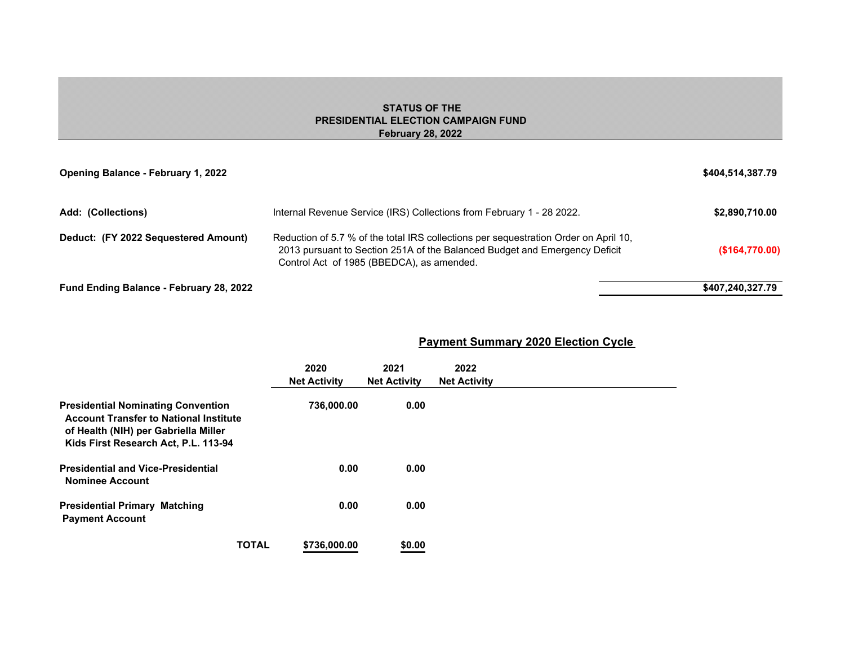## **STATUS OF THE PRESIDENTIAL ELECTION CAMPAIGN FUND February 28, 2022**

| <b>Opening Balance - February 1, 2022</b> |                                                                                                                                                                                                                 | \$404,514,387.79 |
|-------------------------------------------|-----------------------------------------------------------------------------------------------------------------------------------------------------------------------------------------------------------------|------------------|
| Add: (Collections)                        | Internal Revenue Service (IRS) Collections from February 1 - 28 2022.                                                                                                                                           | \$2,890,710.00   |
| Deduct: (FY 2022 Sequestered Amount)      | Reduction of 5.7 % of the total IRS collections per sequestration Order on April 10.<br>2013 pursuant to Section 251A of the Balanced Budget and Emergency Deficit<br>Control Act of 1985 (BBEDCA), as amended. | (S164,770.00)    |
| Fund Ending Balance - February 28, 2022   |                                                                                                                                                                                                                 | \$407,240,327.79 |

**Payment Summary 2020 Election Cycle** 

|                                                                                                                                                                            | 2020<br><b>Net Activity</b> | 2021<br><b>Net Activity</b> | 2022<br><b>Net Activity</b> |  |
|----------------------------------------------------------------------------------------------------------------------------------------------------------------------------|-----------------------------|-----------------------------|-----------------------------|--|
| <b>Presidential Nominating Convention</b><br><b>Account Transfer to National Institute</b><br>of Health (NIH) per Gabriella Miller<br>Kids First Research Act, P.L. 113-94 | 736,000.00                  | 0.00                        |                             |  |
| <b>Presidential and Vice-Presidential</b><br><b>Nominee Account</b>                                                                                                        | 0.00                        | 0.00                        |                             |  |
| <b>Presidential Primary Matching</b><br><b>Payment Account</b>                                                                                                             | 0.00                        | 0.00                        |                             |  |
| <b>TOTAL</b>                                                                                                                                                               | \$736,000.00                | \$0.00                      |                             |  |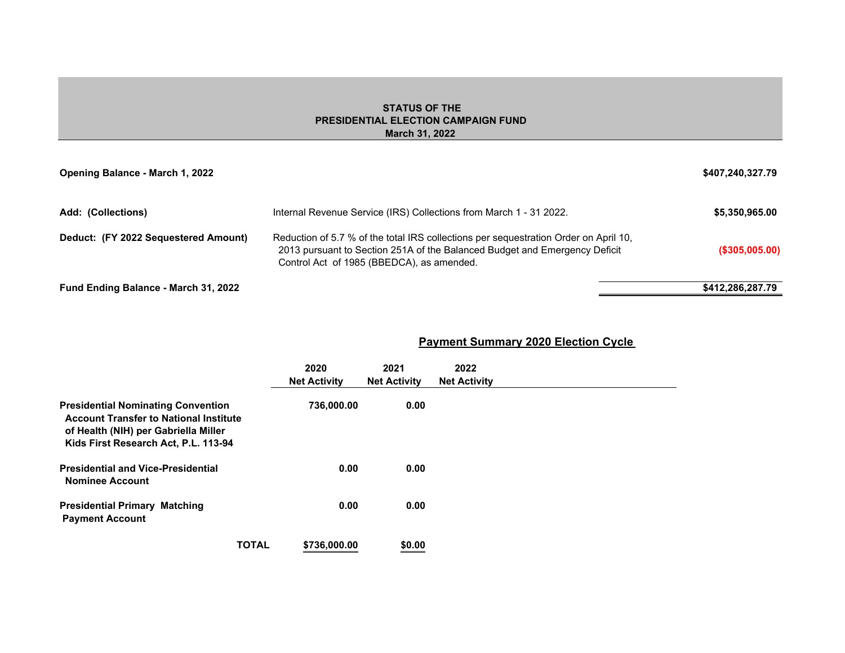#### **STATUS OF THE PRESIDENTIAL ELECTION CAMPAIGN FUND March 31, 2022**

| Opening Balance - March 1, 2022      |                                                                                                                                                                                                                 | \$407,240,327.79  |
|--------------------------------------|-----------------------------------------------------------------------------------------------------------------------------------------------------------------------------------------------------------------|-------------------|
| Add: (Collections)                   | Internal Revenue Service (IRS) Collections from March 1 - 31 2022.                                                                                                                                              | \$5,350,965.00    |
| Deduct: (FY 2022 Sequestered Amount) | Reduction of 5.7 % of the total IRS collections per sequestration Order on April 10.<br>2013 pursuant to Section 251A of the Balanced Budget and Emergency Deficit<br>Control Act of 1985 (BBEDCA), as amended. | $($ \$305,005.00) |
| Fund Ending Balance - March 31, 2022 |                                                                                                                                                                                                                 | \$412,286,287.79  |

|                                                                                                                                                                            | 2020<br><b>Net Activity</b> | 2021<br><b>Net Activity</b> | 2022<br><b>Net Activity</b> |  |
|----------------------------------------------------------------------------------------------------------------------------------------------------------------------------|-----------------------------|-----------------------------|-----------------------------|--|
| <b>Presidential Nominating Convention</b><br><b>Account Transfer to National Institute</b><br>of Health (NIH) per Gabriella Miller<br>Kids First Research Act, P.L. 113-94 | 736,000.00                  | 0.00                        |                             |  |
| <b>Presidential and Vice-Presidential</b><br><b>Nominee Account</b>                                                                                                        | 0.00                        | 0.00                        |                             |  |
| <b>Presidential Primary Matching</b><br><b>Payment Account</b>                                                                                                             | 0.00                        | 0.00                        |                             |  |
| <b>TOTAL</b>                                                                                                                                                               | \$736,000,00                | \$0.00                      |                             |  |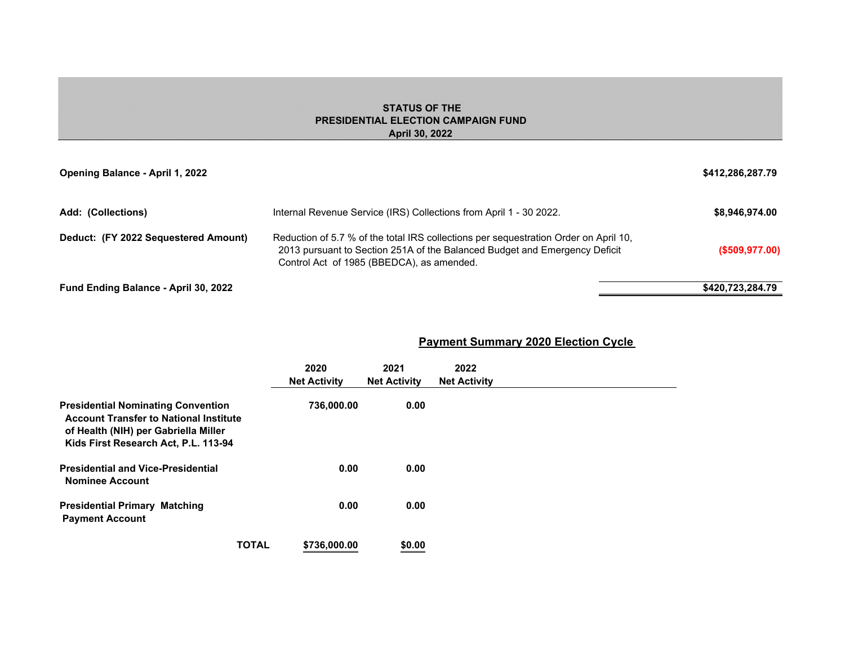#### **STATUS OF THE PRESIDENTIAL ELECTION CAMPAIGN FUND April 30, 2022**

| Opening Balance - April 1, 2022             |                                                                                                                                                                                                                 | \$412,286,287.79  |
|---------------------------------------------|-----------------------------------------------------------------------------------------------------------------------------------------------------------------------------------------------------------------|-------------------|
| Add: (Collections)                          | Internal Revenue Service (IRS) Collections from April 1 - 30 2022.                                                                                                                                              | \$8,946,974.00    |
| Deduct: (FY 2022 Sequestered Amount)        | Reduction of 5.7 % of the total IRS collections per sequestration Order on April 10,<br>2013 pursuant to Section 251A of the Balanced Budget and Emergency Deficit<br>Control Act of 1985 (BBEDCA), as amended. | $($ \$509,977.00) |
| <b>Fund Ending Balance - April 30, 2022</b> |                                                                                                                                                                                                                 | \$420,723,284.79  |

| <b>Payment Summary 2020 Election Cycle</b> |  |
|--------------------------------------------|--|
|--------------------------------------------|--|

|                                                                                                                                                                            | 2020<br><b>Net Activity</b> | 2021<br><b>Net Activity</b> | 2022<br><b>Net Activity</b> |  |
|----------------------------------------------------------------------------------------------------------------------------------------------------------------------------|-----------------------------|-----------------------------|-----------------------------|--|
| <b>Presidential Nominating Convention</b><br><b>Account Transfer to National Institute</b><br>of Health (NIH) per Gabriella Miller<br>Kids First Research Act, P.L. 113-94 | 736,000.00                  | 0.00                        |                             |  |
| <b>Presidential and Vice-Presidential</b><br><b>Nominee Account</b>                                                                                                        | 0.00                        | 0.00                        |                             |  |
| <b>Presidential Primary Matching</b><br><b>Payment Account</b>                                                                                                             | 0.00                        | 0.00                        |                             |  |
| <b>TOTAL</b>                                                                                                                                                               | \$736,000,00                | \$0.00                      |                             |  |